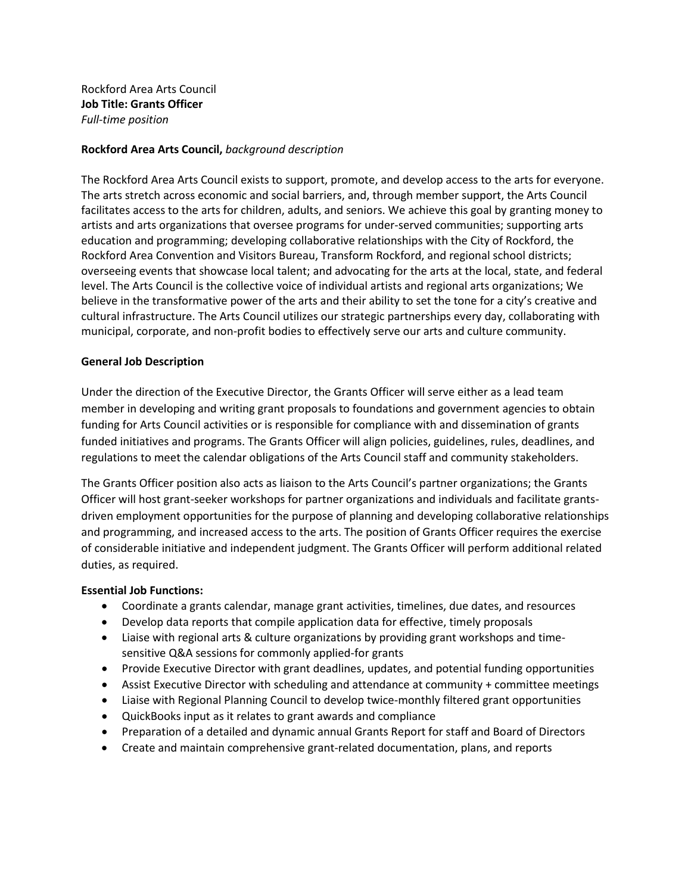Rockford Area Arts Council **Job Title: Grants Officer**  *Full-time position*

### **Rockford Area Arts Council,** *background description*

The Rockford Area Arts Council exists to support, promote, and develop access to the arts for everyone. The arts stretch across economic and social barriers, and, through member support, the Arts Council facilitates access to the arts for children, adults, and seniors. We achieve this goal by granting money to artists and arts organizations that oversee programs for under-served communities; supporting arts education and programming; developing collaborative relationships with the City of Rockford, the Rockford Area Convention and Visitors Bureau, Transform Rockford, and regional school districts; overseeing events that showcase local talent; and advocating for the arts at the local, state, and federal level. The Arts Council is the collective voice of individual artists and regional arts organizations; We believe in the transformative power of the arts and their ability to set the tone for a city's creative and cultural infrastructure. The Arts Council utilizes our strategic partnerships every day, collaborating with municipal, corporate, and non-profit bodies to effectively serve our arts and culture community.

### **General Job Description**

Under the direction of the Executive Director, the Grants Officer will serve either as a lead team member in developing and writing grant proposals to foundations and government agencies to obtain funding for Arts Council activities or is responsible for compliance with and dissemination of grants funded initiatives and programs. The Grants Officer will align policies, guidelines, rules, deadlines, and regulations to meet the calendar obligations of the Arts Council staff and community stakeholders.

The Grants Officer position also acts as liaison to the Arts Council's partner organizations; the Grants Officer will host grant-seeker workshops for partner organizations and individuals and facilitate grantsdriven employment opportunities for the purpose of planning and developing collaborative relationships and programming, and increased access to the arts. The position of Grants Officer requires the exercise of considerable initiative and independent judgment. The Grants Officer will perform additional related duties, as required.

### **Essential Job Functions:**

- Coordinate a grants calendar, manage grant activities, timelines, due dates, and resources
- Develop data reports that compile application data for effective, timely proposals
- Liaise with regional arts & culture organizations by providing grant workshops and timesensitive Q&A sessions for commonly applied-for grants
- Provide Executive Director with grant deadlines, updates, and potential funding opportunities
- Assist Executive Director with scheduling and attendance at community + committee meetings
- Liaise with Regional Planning Council to develop twice-monthly filtered grant opportunities
- QuickBooks input as it relates to grant awards and compliance
- Preparation of a detailed and dynamic annual Grants Report for staff and Board of Directors
- Create and maintain comprehensive grant-related documentation, plans, and reports